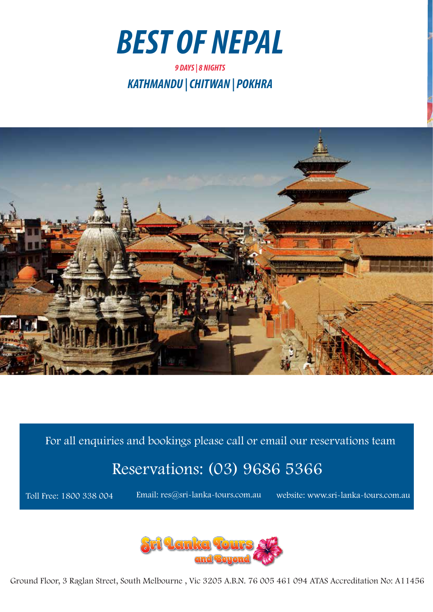



For all enquiries and bookings please call or email our reservations team

# Reservations: (03) 9686 5366

Toll Free: 1800 338 004

Email: res@sri-lanka-tours.com.au website: www.sri-lanka-tours.com.au



Ground Floor, 3 Raglan Street, South Melbourne , Vic 3205 A.B.N. 76 005 461 094 ATAS Accreditation No: A11456